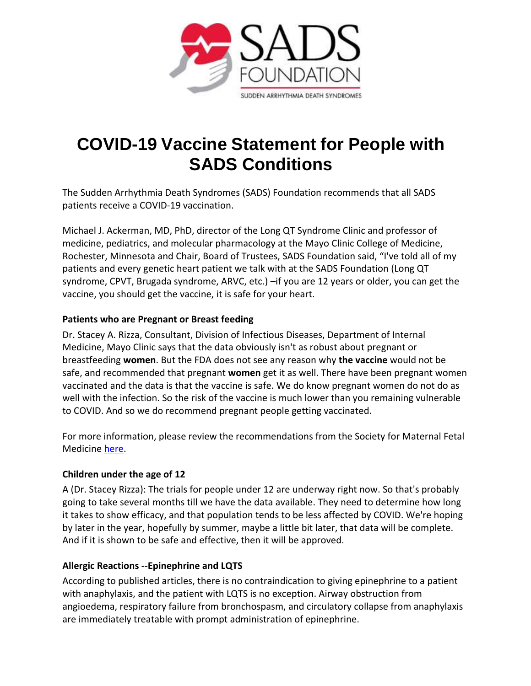

# **COVID-19 Vaccine Statement for People with SADS Conditions**

The Sudden Arrhythmia Death Syndromes (SADS) Foundation recommends that all SADS patients receive a COVID-19 vaccination.

Michael J. Ackerman, MD, PhD, director of the Long QT Syndrome Clinic and professor of medicine, pediatrics, and molecular pharmacology at the Mayo Clinic College of Medicine, Rochester, Minnesota and Chair, Board of Trustees, SADS Foundation said, "I've told all of my patients and every genetic heart patient we talk with at the SADS Foundation (Long QT syndrome, CPVT, Brugada syndrome, ARVC, etc.) –if you are 12 years or older, you can get the vaccine, you should get the vaccine, it is safe for your heart.

### **Patients who are Pregnant or Breast feeding**

Dr. Stacey A. Rizza, Consultant, Division of Infectious Diseases, Department of Internal Medicine, Mayo Clinic says that the data obviously isn't as robust about pregnant or breastfeeding **women**. But the FDA does not see any reason why **the vaccine** would not be safe, and recommended that pregnant **women** get it as well. There have been pregnant women vaccinated and the data is that the vaccine is safe. We do know pregnant women do not do as well with the infection. So the risk of the vaccine is much lower than you remaining vulnerable to COVID. And so we do recommend pregnant people getting vaccinated.

For more information, please review the recommendations from the Society for Maternal Fetal Medicine [here.](https://www.highriskpregnancyinfo.org/covid-19)

## **Children under the age of 12**

A (Dr. Stacey Rizza): The trials for people under 12 are underway right now. So that's probably going to take several months till we have the data available. They need to determine how long it takes to show efficacy, and that population tends to be less affected by COVID. We're hoping by later in the year, hopefully by summer, maybe a little bit later, that data will be complete. And if it is shown to be safe and effective, then it will be approved.

## **Allergic Reactions --Epinephrine and LQTS**

According to published articles, there is no contraindication to giving epinephrine to a patient with anaphylaxis, and the patient with LQTS is no exception. Airway obstruction from angioedema, respiratory failure from bronchospasm, and circulatory collapse from anaphylaxis are immediately treatable with prompt administration of epinephrine.